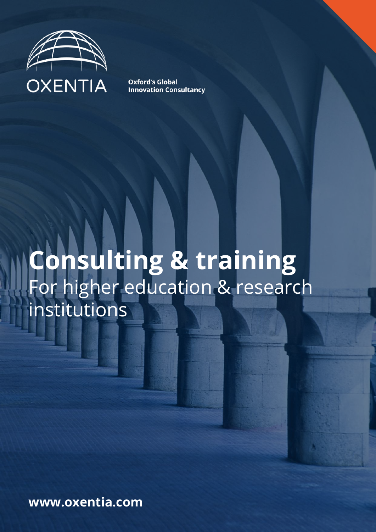

**Oxford's Global Innovation Consultancy** 

### **Consulting & training** For higher education & research institutions

**[www.oxentia.com](http://www.oxentia.com/)**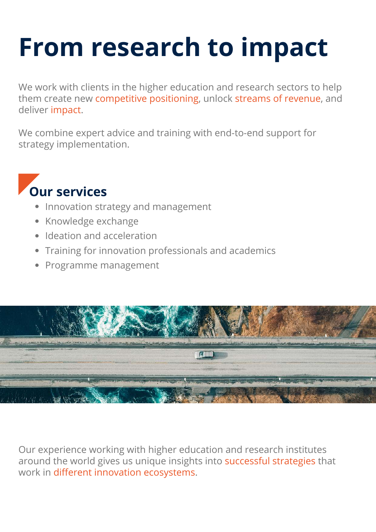## **From research to impact**

We work with clients in the higher education and research sectors to help them create new competitive positioning, unlock streams of revenue, and deliver impact.

We combine expert advice and training with end-to-end support for strategy implementation.



- Innovation strategy and management
- Knowledge exchange
- Ideation and acceleration
- Training for innovation professionals and academics
- Programme management



Our experience working with higher education and research institutes around the world gives us unique insights into successful strategies that work in different innovation ecosystems.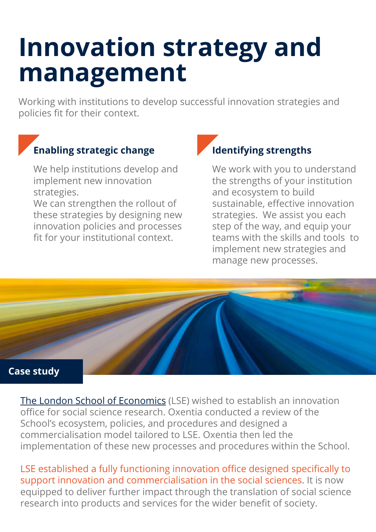### **Innovation strategy and management**

Working with institutions to develop successful innovation strategies and policies fit for their context.

### **Enabling strategic change Identifying strengths**

We help institutions develop and implement new innovation strategies.

We can strengthen the rollout of these strategies by designing new innovation policies and processes fit for your institutional context.



We work with you to understand the strengths of your institution and ecosystem to build sustainable, effective innovation strategies. We assist you each step of the way, and equip your teams with the skills and tools to implement new strategies and manage new processes.



[The London School of Economics](https://www.lse.ac.uk/) (LSE) wished to establish an innovation office for social science research. Oxentia conducted a review of the School's ecosystem, policies, and procedures and designed a commercialisation model tailored to LSE. Oxentia then led the implementation of these new processes and procedures within the School.

LSE established a fully functioning innovation office designed specifically to support innovation and commercialisation in the social sciences. It is now equipped to deliver further impact through the translation of social science research into products and services for the wider benefit of society.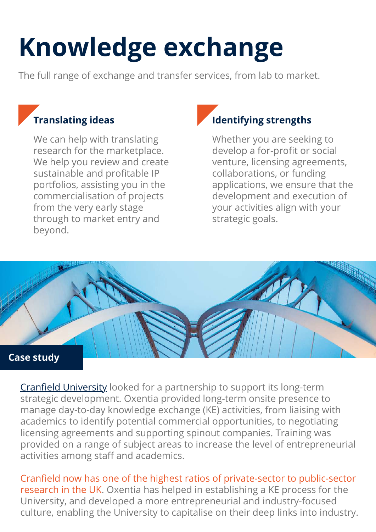# **Knowledge exchange**

The full range of exchange and transfer services, from lab to market.

We can help with translating research for the marketplace. We help you review and create sustainable and profitable IP portfolios, assisting you in the commercialisation of projects from the very early stage through to market entry and beyond.

### **Translating ideas Identifying strengths**

Whether you are seeking to develop a for-profit or social venture, licensing agreements, collaborations, or funding applications, we ensure that the development and execution of your activities align with your strategic goals.



[Cranfield University](https://www.cranfield.ac.uk/) looked for a partnership to support its long-term strategic development. Oxentia provided long-term onsite presence to manage day-to-day knowledge exchange (KE) activities, from liaising with academics to identify potential commercial opportunities, to negotiating licensing agreements and supporting spinout companies. Training was provided on a range of subject areas to increase the level of entrepreneurial activities among staff and academics.

Cranfield now has one of the highest ratios of private-sector to public-sector research in the UK. Oxentia has helped in establishing a KE process for the University, and developed a more entrepreneurial and industry-focused culture, enabling the University to capitalise on their deep links into industry.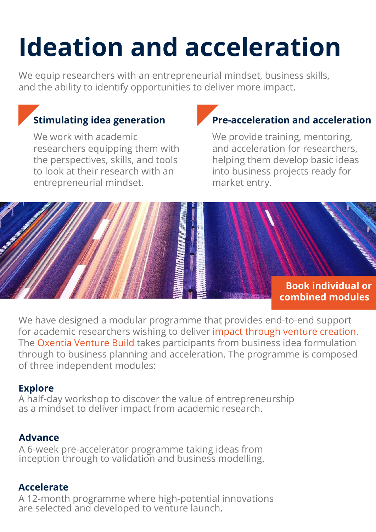# **Ideation and acceleration**

We equip researchers with an entrepreneurial mindset, business skills, and the ability to identify opportunities to deliver more impact.



We work with academic researchers equipping them with the perspectives, skills, and tools to look at their research with an entrepreneurial mindset.

### **Stimulating idea generation Pre-acceleration and acceleration**

We provide training, mentoring, and acceleration for researchers, helping them develop basic ideas into business projects ready for market entry.



We have designed a modular programme that provides end-to-end support for academic researchers wishing to deliver impact through venture creation. The Oxentia Venture Build takes participants from business idea formulation through to business planning and acceleration. The programme is composed of three independent modules:

#### **Explore**

A half-day workshop to discover the value of entrepreneurship as a mindset to deliver impact from academic research.

#### **Advance**

A 6-week pre-accelerator programme taking ideas from inception through to validation and business modelling.

#### **Accelerate**

A 12-month programme where high-potential innovations are selected and developed to venture launch.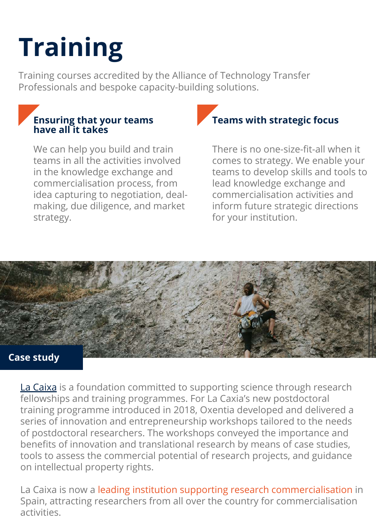# **Training**

[Training courses accredited by the Alliance of Technology Transfer](http://attp.info/) Professionals and bespoke capacity-building solutions.

### **Ensuring that your teams have all it takes**

We can help you build and train teams in all the activities involved in the knowledge exchange and commercialisation process, from idea capturing to negotiation, dealmaking, due diligence, and market strategy.



There is no one-size-fit-all when it comes to strategy. We enable your teams to develop skills and tools to lead knowledge exchange and commercialisation activities and inform future strategic directions for your institution.



[La Caixa](https://fundacionlacaixa.org/en/home) is a foundation committed to supporting science through research fellowships and training programmes. For La Caxia's new postdoctoral training programme introduced in 2018, Oxentia developed and delivered a series of innovation and entrepreneurship workshops tailored to the needs of postdoctoral researchers. The workshops conveyed the importance and benefits of innovation and translational research by means of case studies, tools to assess the commercial potential of research projects, and guidance on intellectual property rights.

La Caixa is now a leading institution supporting research commercialisation in Spain, attracting researchers from all over the country for commercialisation activities.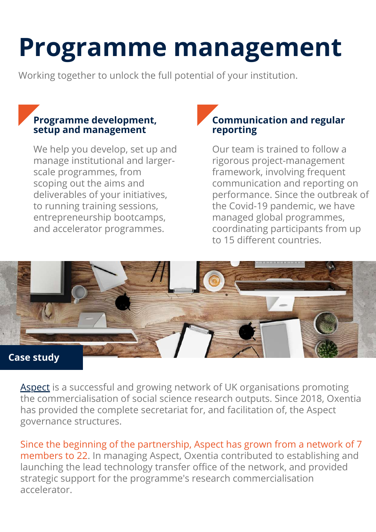### **Programme management**

Working together to unlock the full potential of your institution.

#### **Programme development, setup and management**

We help you develop, set up and manage institutional and largerscale programmes, from scoping out the aims and deliverables of your initiatives, to running training sessions, entrepreneurship bootcamps, and accelerator programmes.

### **Communication and regular reporting**

Our team is trained to follow a rigorous project-management framework, involving frequent communication and reporting on performance. Since the outbreak of the Covid-19 pandemic, we have managed global programmes, coordinating participants from up to 15 different countries.



[Aspect](https://aspect.ac.uk/) is a successful and growing network of UK organisations promoting the commercialisation of social science research outputs. Since 2018, Oxentia has provided the complete secretariat for, and facilitation of, the Aspect governance structures.

Since the beginning of the partnership, Aspect has grown from a network of 7 members to 22. In managing Aspect, Oxentia contributed to establishing and launching the lead technology transfer office of the network, and provided strategic support for the programme's research commercialisation accelerator.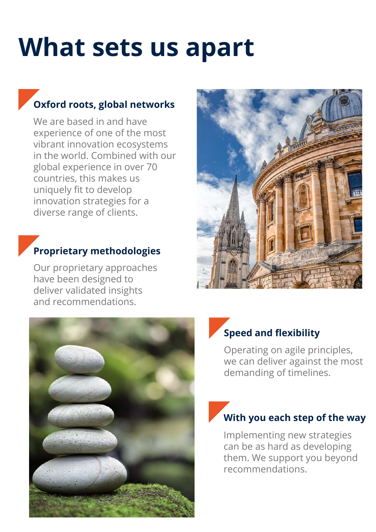### **What sets us apart**

### **Oxford roots, global networks**

We are based in and have experience of one of the most vibrant innovation ecosystems in the world. Combined with our global experience in over 70 countries, this makes us uniquely fit to develop innovation strategies for a diverse range of clients.

### **Proprietary methodologies**

Our proprietary approaches have been designed to deliver validated insights and recommendations.





### **Speed and flexibility**

Operating on agile principles, we can deliver against the most demanding of timelines.

### **With you each step of the way**

Implementing new strategies can be as hard as developing them. We support you beyond recommendations.